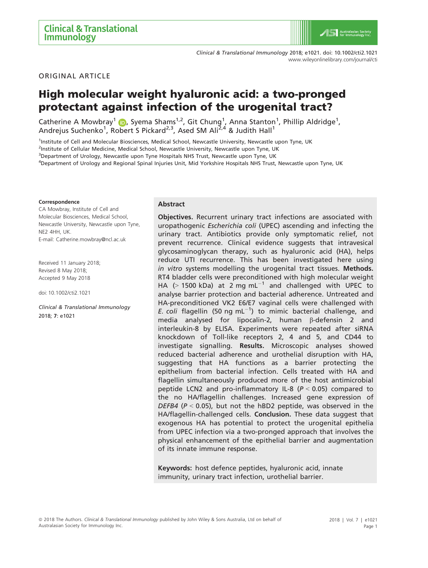Clinical & Translational Immunology 2018; e1021. doi: 10.1002/cti2.1021 <www.wileyonlinelibrary.com/journal/cti>

ORIGINAL ARTICLE

# High molecular weight hyaluronic acid: a two-pronged protectant against infection of the urogenital tract?

Catherine A Mowbray<sup>1</sup> (D, Syema Shams<sup>1,2</sup>, Git Chung<sup>1</sup>, Anna Stanton<sup>1</sup>, Phillip Aldridge<sup>1</sup>, Andrejus Suchenko<sup>1</sup>, Robert S Pickard<sup>2,3</sup>, Ased SM Ali<sup>2,4</sup> & Judith Hall<sup>1</sup>

<sup>1</sup>Institute of Cell and Molecular Biosciences, Medical School, Newcastle University, Newcastle upon Tyne, UK

<sup>2</sup>Institute of Cellular Medicine, Medical School, Newcastle University, Newcastle upon Tyne, UK

<sup>3</sup>Department of Urology, Newcastle upon Tyne Hospitals NHS Trust, Newcastle upon Tyne, UK

4 Department of Urology and Regional Spinal Injuries Unit, Mid Yorkshire Hospitals NHS Trust, Newcastle upon Tyne, UK

#### Correspondence

CA Mowbray, Institute of Cell and Molecular Biosciences, Medical School, Newcastle University, Newcastle upon Tyne, NE2 4HH, UK. E-mail: Catherine.mowbray@ncl.ac.uk

Received 11 January 2018; Revised 8 May 2018; Accepted 9 May 2018

doi: 10.1002/cti2.1021

Clinical & Translational Immunology 2018; 7: e1021

#### Abstract

Objectives. Recurrent urinary tract infections are associated with uropathogenic Escherichia coli (UPEC) ascending and infecting the urinary tract. Antibiotics provide only symptomatic relief, not prevent recurrence. Clinical evidence suggests that intravesical glycosaminoglycan therapy, such as hyaluronic acid (HA), helps reduce UTI recurrence. This has been investigated here using in vitro systems modelling the urogenital tract tissues. Methods. RT4 bladder cells were preconditioned with high molecular weight HA  $(> 1500$  kDa) at 2 mg mL<sup>-1</sup> and challenged with UPEC to analyse barrier protection and bacterial adherence. Untreated and HA-preconditioned VK2 E6/E7 vaginal cells were challenged with E. coli flagellin (50 ng mL $^{-1}$ ) to mimic bacterial challenge, and media analysed for lipocalin-2, human  $\beta$ -defensin 2 and interleukin-8 by ELISA. Experiments were repeated after siRNA knockdown of Toll-like receptors 2, 4 and 5, and CD44 to investigate signalling. Results. Microscopic analyses showed reduced bacterial adherence and urothelial disruption with HA, suggesting that HA functions as a barrier protecting the epithelium from bacterial infection. Cells treated with HA and flagellin simultaneously produced more of the host antimicrobial peptide LCN2 and pro-inflammatory IL-8 ( $P < 0.05$ ) compared to the no HA/flagellin challenges. Increased gene expression of DEFB4 ( $P < 0.05$ ), but not the hBD2 peptide, was observed in the HA/flagellin-challenged cells. Conclusion. These data suggest that exogenous HA has potential to protect the urogenital epithelia from UPEC infection via a two-pronged approach that involves the physical enhancement of the epithelial barrier and augmentation of its innate immune response.

Keywords: host defence peptides, hyaluronic acid, innate immunity, urinary tract infection, urothelial barrier.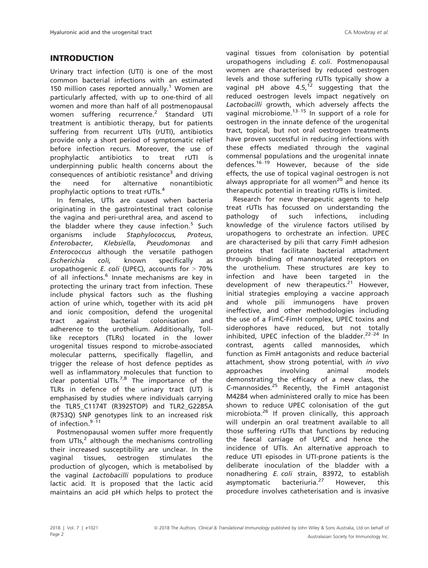Urinary tract infection (UTI) is one of the most common bacterial infections with an estimated 150 million cases reported annually.<sup>1</sup> Women are particularly affected, with up to one-third of all women and more than half of all postmenopausal women suffering recurrence.<sup>2</sup> Standard UTI treatment is antibiotic therapy, but for patients suffering from recurrent UTIs (rUTI), antibiotics provide only a short period of symptomatic relief before infection recurs. Moreover, the use of prophylactic antibiotics to treat rUTI is underpinning public health concerns about the consequences of antibiotic resistance<sup>3</sup> and driving the need for alternative nonantibiotic prophylactic options to treat rUTIs.<sup>4</sup>

In females, UTIs are caused when bacteria originating in the gastrointestinal tract colonise the vagina and peri-urethral area, and ascend to the bladder where they cause infection. $5$  Such organisms include Staphylococcus, Proteus, Enterobacter, Klebsiella, Pseudomonas and Enterococcus although the versatile pathogen Escherichia coli, known specifically as uropathogenic E. coli (UPEC), accounts for  $> 70\%$ of all infections.<sup>6</sup> Innate mechanisms are key in protecting the urinary tract from infection. These include physical factors such as the flushing action of urine which, together with its acid pH and ionic composition, defend the urogenital tract against bacterial colonisation and adherence to the urothelium. Additionally, Tolllike receptors (TLRs) located in the lower urogenital tissues respond to microbe-associated molecular patterns, specifically flagellin, and trigger the release of host defence peptides as well as inflammatory molecules that function to clear potential UTIs.<sup>7,8</sup> The importance of the TLRs in defence of the urinary tract (UT) is emphasised by studies where individuals carrying the TLR5\_C1174T (R392STOP) and TLR2\_G2285A (R753Q) SNP genotypes link to an increased risk of infection.<sup>9-11</sup>

Postmenopausal women suffer more frequently from UTIs, $<sup>2</sup>$  although the mechanisms controlling</sup> their increased susceptibility are unclear. In the vaginal tissues, oestrogen stimulates the production of glycogen, which is metabolised by the vaginal Lactobacilli populations to produce lactic acid. It is proposed that the lactic acid maintains an acid pH which helps to protect the

vaginal tissues from colonisation by potential uropathogens including E. coli. Postmenopausal women are characterised by reduced oestrogen levels and those suffering rUTIs typically show a vaginal pH above  $4.5<sup>12</sup>$  suggesting that the reduced oestrogen levels impact negatively on Lactobacilli growth, which adversely affects the vaginal microbiome. $13-15$  In support of a role for oestrogen in the innate defence of the urogenital tract, topical, but not oral oestrogen treatments have proven successful in reducing infections with these effects mediated through the vaginal commensal populations and the urogenital innate defences.<sup>16–19</sup> However, because of the side effects, the use of topical vaginal oestrogen is not always appropriate for all women<sup>20</sup> and hence its therapeutic potential in treating rUTIs is limited.

Research for new therapeutic agents to help treat rUTIs has focussed on understanding the pathology of such infections, including knowledge of the virulence factors utilised by uropathogens to orchestrate an infection. UPEC are characterised by pili that carry FimH adhesion proteins that facilitate bacterial attachment through binding of mannosylated receptors on the urothelium. These structures are key to infection and have been targeted in the development of new therapeutics. $21$  However, initial strategies employing a vaccine approach and whole pili immunogens have proven ineffective, and other methodologies including the use of a FimC-FimH complex, UPEC toxins and siderophores have reduced, but not totally inhibited, UPEC infection of the bladder.<sup>22-24</sup> In contrast, agents called mannosides, which function as FimH antagonists and reduce bacterial attachment, show strong potential, with in vivo approaches involving animal models demonstrating the efficacy of a new class, the C-mannosides. $25$  Recently, the FimH antagonist M4284 when administered orally to mice has been shown to reduce UPEC colonisation of the gut microbiota.<sup>26</sup> If proven clinically, this approach will underpin an oral treatment available to all those suffering rUTIs that functions by reducing the faecal carriage of UPEC and hence the incidence of UTIs. An alternative approach to reduce UTI episodes in UTI-prone patients is the deliberate inoculation of the bladder with a nonadhering E. coli strain, 83972, to establish asymptomatic bacteriuria.<sup>27</sup> However, this procedure involves catheterisation and is invasive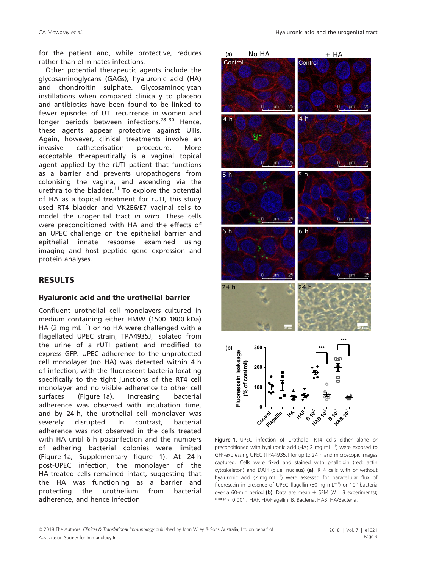for the patient and, while protective, reduces rather than eliminates infections.

Other potential therapeutic agents include the glycosaminoglycans (GAGs), hyaluronic acid (HA) and chondroitin sulphate. Glycosaminoglycan instillations when compared clinically to placebo and antibiotics have been found to be linked to fewer episodes of UTI recurrence in women and longer periods between infections.<sup>28–30</sup> Hence, these agents appear protective against UTIs. Again, however, clinical treatments involve an invasive catheterisation procedure. More acceptable therapeutically is a vaginal topical agent applied by the rUTI patient that functions as a barrier and prevents uropathogens from colonising the vagina, and ascending via the urethra to the bladder. $11$  To explore the potential of HA as a topical treatment for rUTI, this study used RT4 bladder and VK2E6/E7 vaginal cells to model the urogenital tract in vitro. These cells were preconditioned with HA and the effects of an UPEC challenge on the epithelial barrier and epithelial innate response examined using imaging and host peptide gene expression and protein analyses.

## RESULTS

#### Hyaluronic acid and the urothelial barrier

Confluent urothelial cell monolayers cultured in medium containing either HMW (1500–1800 kDa) HA (2 mg mL $^{-1}$ ) or no HA were challenged with a flagellated UPEC strain, TPA4935J, isolated from the urine of a rUTI patient and modified to express GFP. UPEC adherence to the unprotected cell monolayer (no HA) was detected within 4 h of infection, with the fluorescent bacteria locating specifically to the tight junctions of the RT4 cell monolayer and no visible adherence to other cell surfaces (Figure 1a). Increasing bacterial adherence was observed with incubation time, and by 24 h, the urothelial cell monolayer was severely disrupted. In contrast, bacterial adherence was not observed in the cells treated with HA until 6 h postinfection and the numbers of adhering bacterial colonies were limited (Figure 1a, Supplementary figure 1). At 24 h post-UPEC infection, the monolayer of the HA-treated cells remained intact, suggesting that the HA was functioning as a barrier and protecting the urothelium from bacterial adherence, and hence infection.



Figure 1. UPEC infection of urothelia. RT4 cells either alone or preconditioned with hyaluronic acid (HA; 2 mg  $mL^{-1}$ ) were exposed to GFP-expressing UPEC (TPA4935J) for up to 24 h and microscopic images captured. Cells were fixed and stained with phalloidin (red: actin cytoskeleton) and DAPI (blue: nucleus) (a). RT4 cells with or without hyaluronic acid (2 mg  $mL^{-1}$ ) were assessed for paracellular flux of fluorescein in presence of UPEC flagellin (50 ng mL $^{-1}$ ) or 10<sup>5</sup> bacteria over a 60-min period (b). Data are mean  $\pm$  SEM (N = 3 experiments); \*\*\*P <sup>&</sup>lt; 0.001. HAF, HA/Flagellin; B, Bacteria; HAB, HA/Bacteria.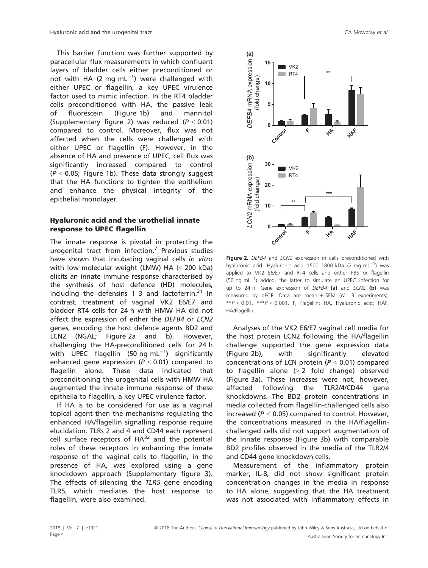This barrier function was further supported by paracellular flux measurements in which confluent layers of bladder cells either preconditioned or not with HA (2 mg  $mL^{-1}$ ) were challenged with either UPEC or flagellin, a key UPEC virulence factor used to mimic infection. In the RT4 bladder cells preconditioned with HA, the passive leak of fluorescein (Figure 1b) and mannitol (Supplementary figure 2) was reduced  $(P < 0.01)$ compared to control. Moreover, flux was not affected when the cells were challenged with either UPEC or flagellin (F). However, in the absence of HA and presence of UPEC, cell flux was significantly increased compared to control  $(P < 0.05$ ; Figure 1b). These data strongly suggest that the HA functions to tighten the epithelium and enhance the physical integrity of the epithelial monolayer.

#### Hyaluronic acid and the urothelial innate response to UPEC flagellin

The innate response is pivotal in protecting the urogenital tract from infection.<sup>7</sup> Previous studies have shown that incubating vaginal cells in vitro with low molecular weight (LMW) HA (< 200 kDa) elicits an innate immune response characterised by the synthesis of host defence (HD) molecules, including the defensins  $1-3$  and lactoferrin.<sup>31</sup> In contrast, treatment of vaginal VK2 E6/E7 and bladder RT4 cells for 24 h with HMW HA did not affect the expression of either the DEFB4 or LCN2 genes, encoding the host defence agents BD2 and LCN2 (NGAL; Figure 2a and b). However, challenging the HA-preconditioned cells for 24 h with UPEC flagellin (50 ng mL $^{-1}$ ) significantly enhanced gene expression ( $P < 0.01$ ) compared to flagellin alone. These data indicated that preconditioning the urogenital cells with HMW HA augmented the innate immune response of these epithelia to flagellin, a key UPEC virulence factor.

If HA is to be considered for use as a vaginal topical agent then the mechanisms regulating the enhanced HA/flagellin signalling response require elucidation. TLRs 2 and 4 and CD44 each represent cell surface receptors of  $HA^{32}$  and the potential roles of these receptors in enhancing the innate response of the vaginal cells to flagellin, in the presence of HA, was explored using a gene knockdown approach (Supplementary figure 3). The effects of silencing the TLR5 gene encoding TLR5, which mediates the host response to flagellin, were also examined.



Figure 2. DEFB4 and LCN2 expression in cells preconditioned with hyaluronic acid. Hyaluronic acid 1500-1800 kDa (2 mg mL $^{-1}$ ) was applied to VK2 E6/E7 and RT4 cells and either PBS or flagellin (50 ng mL $^{-1}$ ) added, the latter to simulate an UPEC infection for up to 24 h. Gene expression of DEFB4 (a) and LCN2 (b) was measured by qPCR. Data are mean  $\pm$  SEM (N = 3 experiments);  $*P < 0.01$ ,  $**P < 0.001$ . F, Flagellin; HA, Hyaluronic acid; HAF, HA/Flagellin.

Analyses of the VK2 E6/E7 vaginal cell media for the host protein LCN2 following the HA/flagellin challenge supported the gene expression data (Figure 2b), with significantly elevated concentrations of LCN protein ( $P < 0.01$ ) compared to flagellin alone  $(> 2$  fold change) observed (Figure 3a). These increases were not, however, affected following the TLR2/4/CD44 gene knockdowns. The BD2 protein concentrations in media collected from flagellin-challenged cells also increased ( $P < 0.05$ ) compared to control. However, the concentrations measured in the HA/flagellinchallenged cells did not support augmentation of the innate response (Figure 3b) with comparable BD2 profiles observed in the media of the TLR2/4 and CD44 gene knockdown cells.

Measurement of the inflammatory protein marker, IL-8, did not show significant protein concentration changes in the media in response to HA alone, suggesting that the HA treatment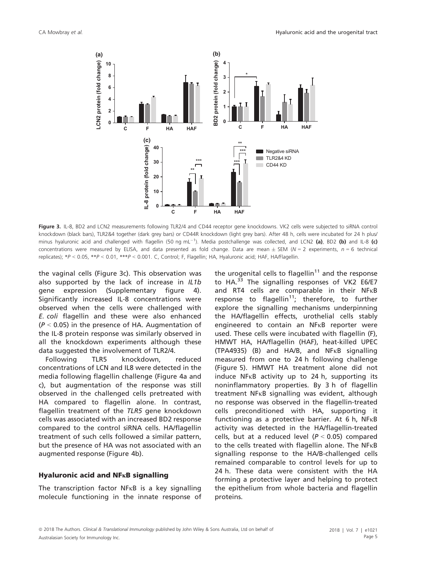

Figure 3. IL-8, BD2 and LCN2 measurements following TLR2/4 and CD44 receptor gene knockdowns. VK2 cells were subjected to siRNA control knockdown (black bars), TLR2&4 together (dark grey bars) or CD44R knockdown (light grey bars). After 48 h, cells were incubated for 24 h plus/ minus hyaluronic acid and challenged with flagellin (50 ng mL<sup>-1</sup>). Media postchallenge was collected, and LCN2 (a), BD2 (b) and IL-8 (c) concentrations were measured by ELISA, and data presented as fold change. Data are mean  $\pm$  SEM (N = 2 experiments, n = 6 technical replicates); \*P <sup>&</sup>lt; 0.05, \*\*P <sup>&</sup>lt; 0.01, \*\*\*P <sup>&</sup>lt; 0.001. C, Control; F, Flagellin; HA, Hyaluronic acid; HAF, HA/Flagellin.

the vaginal cells (Figure 3c). This observation was also supported by the lack of increase in IL1b gene expression (Supplementary figure 4). Significantly increased IL-8 concentrations were observed when the cells were challenged with E. coli flagellin and these were also enhanced  $(P < 0.05)$  in the presence of HA. Augmentation of the IL-8 protein response was similarly observed in all the knockdown experiments although these data suggested the involvement of TLR2/4.

Following TLR5 knockdown, reduced concentrations of LCN and IL8 were detected in the media following flagellin challenge (Figure 4a and c), but augmentation of the response was still observed in the challenged cells pretreated with HA compared to flagellin alone. In contrast, flagellin treatment of the TLR5 gene knockdown cells was associated with an increased BD2 response compared to the control siRNA cells. HA/flagellin treatment of such cells followed a similar pattern, but the presence of HA was not associated with an augmented response (Figure 4b).

#### Hyaluronic acid and  $NFRB$  signalling

The transcription factor  $NFR$  is a key signalling molecule functioning in the innate response of the urogenital cells to flagellin<sup>11</sup> and the response to HA.<sup>33</sup> The signalling responses of VK2 E6/E7 and RT4 cells are comparable in their  $NF_{KB}$ response to flagellin<sup>11</sup>; therefore, to further explore the signalling mechanisms underpinning the HA/flagellin effects, urothelial cells stably engineered to contain an NFKB reporter were used. These cells were incubated with flagellin (F), HMWT HA, HA/flagellin (HAF), heat-killed UPEC  $(TPA4935)$  (B) and HA/B, and NF $\kappa$ B signalling measured from one to 24 h following challenge (Figure 5). HMWT HA treatment alone did not induce  $NF \kappa B$  activity up to 24 h, supporting its noninflammatory properties. By 3 h of flagellin treatment  $NF<sub>K</sub>B$  signalling was evident, although no response was observed in the flagellin-treated cells preconditioned with HA, supporting it functioning as a protective barrier. At 6 h,  $NFRB$ activity was detected in the HA/flagellin-treated cells, but at a reduced level ( $P < 0.05$ ) compared to the cells treated with flagellin alone. The  $NFRB$ signalling response to the HA/B-challenged cells remained comparable to control levels for up to 24 h. These data were consistent with the HA forming a protective layer and helping to protect the epithelium from whole bacteria and flagellin proteins.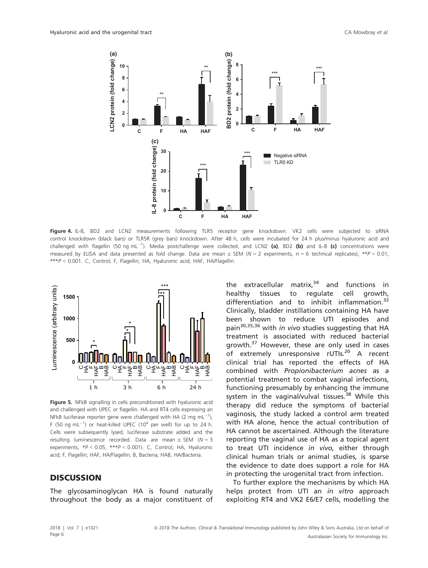

Figure 4. IL-8, BD2 and LCN2 measurements following TLR5 receptor gene knockdown. VK2 cells were subjected to siRNA control knockdown (black bars) or TLR5R (grey bars) knockdown. After 48 h, cells were incubated for 24 h plus/minus hyaluronic acid and challenged with flagellin (50 ng mL<sup>-1</sup>). Media postchallenge were collected, and LCN2 (a), BD2 (b) and IL-8 (c) concentrations were measured by ELISA and data presented as fold change. Data are mean  $\pm$  SEM (N = 2 experiments, n = 6 technical replicates); \*\*P < 0.01, \*\*\*P <sup>&</sup>lt; 0.001. C, Control; F, Flagellin; HA, Hyaluronic acid; HAF, HA/Flagellin.



Figure 5. NFkB signalling in cells preconditioned with hyaluronic acid and challenged with UPEC or flagellin. HA and RT4 cells expressing an NFkB luciferase reporter gene were challenged with HA (2 mg mL $^{-1}$ ), F (50 ng mL $^{-1}$ ) or heat-killed UPEC (10<sup>4</sup> per well) for up to 24 h. Cells were subsequently lysed, luciferase substrate added and the resulting luminescence recorded. Data are mean  $\pm$  SEM (N = 3 experiments,  $*P < 0.05$ ,  $**P < 0.001$ ). C, Control; HA, Hyaluronic acid; F, Flagellin; HAF, HA/Flagellin; B, Bacteria; HAB, HA/Bacteria.

### **DISCUSSION**

The glycosaminoglycan HA is found naturally throughout the body as a major constituent of the extracellular matrix, $34$  and functions in healthy tissues to regulate cell growth, differentiation and to inhibit inflammation.<sup>32</sup> Clinically, bladder instillations containing HA have been shown to reduce UTI episodes and pain<sup>30,35,36</sup> with in vivo studies suggesting that HA treatment is associated with reduced bacterial growth.<sup>37</sup> However, these are only used in cases of extremely unresponsive rUTIs.<sup>20</sup> A recent clinical trial has reported the effects of HA combined with Propionibacterium acnes as a potential treatment to combat vaginal infections, functioning presumably by enhancing the immune system in the vaginal/vulval tissues.<sup>38</sup> While this therapy did reduce the symptoms of bacterial vaginosis, the study lacked a control arm treated with HA alone, hence the actual contribution of HA cannot be ascertained. Although the literature reporting the vaginal use of HA as a topical agent to treat UTI incidence in vivo, either through clinical human trials or animal studies, is sparse the evidence to date does support a role for HA in protecting the urogenital tract from infection.

To further explore the mechanisms by which HA helps protect from UTI an in vitro approach exploiting RT4 and VK2 E6/E7 cells, modelling the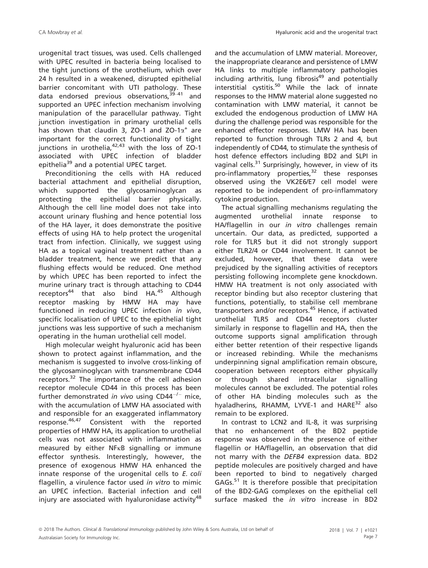urogenital tract tissues, was used. Cells challenged with UPEC resulted in bacteria being localised to the tight junctions of the urothelium, which over 24 h resulted in a weakened, disrupted epithelial barrier concomitant with UTI pathology. These data endorsed previous observations,  $39-41$  and supported an UPEC infection mechanism involving manipulation of the paracellular pathway. Tight junction investigation in primary urothelial cells has shown that claudin 3, ZO-1 and ZO-1 $\alpha^+$  are important for the correct functionality of tight junctions in urothelia, $42,43$  with the loss of ZO-1 associated with UPEC infection of bladder epithelia<sup>39</sup> and a potential UPEC target.

Preconditioning the cells with HA reduced bacterial attachment and epithelial disruption, which supported the glycosaminoglycan as protecting the epithelial barrier physically. Although the cell line model does not take into account urinary flushing and hence potential loss of the HA layer, it does demonstrate the positive effects of using HA to help protect the urogenital tract from infection. Clinically, we suggest using HA as a topical vaginal treatment rather than a bladder treatment, hence we predict that any flushing effects would be reduced. One method by which UPEC has been reported to infect the murine urinary tract is through attaching to CD44  $receptors<sup>44</sup>$  that also bind HA.<sup>45</sup> Although receptor masking by HMW HA may have functioned in reducing UPEC infection in vivo, specific localisation of UPEC to the epithelial tight junctions was less supportive of such a mechanism operating in the human urothelial cell model.

High molecular weight hyaluronic acid has been shown to protect against inflammation, and the mechanism is suggested to involve cross-linking of the glycosaminoglycan with transmembrane CD44 receptors.<sup>32</sup> The importance of the cell adhesion receptor molecule CD44 in this process has been further demonstrated in vivo using  $CD44^{-/-}$  mice, with the accumulation of LMW HA associated with and responsible for an exaggerated inflammatory response.46,47 Consistent with the reported properties of HMW HA, its application to urothelial cells was not associated with inflammation as measured by either  $NF<sub>K</sub>B$  signalling or immune effector synthesis. Interestingly, however, the presence of exogenous HMW HA enhanced the innate response of the urogenital cells to E. coli flagellin, a virulence factor used in vitro to mimic an UPEC infection. Bacterial infection and cell injury are associated with hyaluronidase activity<sup>48</sup>

and the accumulation of LMW material. Moreover, the inappropriate clearance and persistence of LMW HA links to multiple inflammatory pathologies including arthritis, lung fibrosis $49$  and potentially interstitial cystitis.<sup>50</sup> While the lack of innate responses to the HMW material alone suggested no contamination with LMW material, it cannot be excluded the endogenous production of LMW HA during the challenge period was responsible for the enhanced effector responses. LMW HA has been reported to function through TLRs 2 and 4, but independently of CD44, to stimulate the synthesis of host defence effectors including BD2 and SLPI in vaginal cells.<sup>31</sup> Surprisingly, however, in view of its  $pro\text{-}inflammatorv$  properties.<sup>32</sup> these responses observed using the VK2E6/E7 cell model were reported to be independent of pro-inflammatory cytokine production.

The actual signalling mechanisms regulating the augmented urothelial innate response to HA/flagellin in our in vitro challenges remain uncertain. Our data, as predicted, supported a role for TLR5 but it did not strongly support either TLR2/4 or CD44 involvement. It cannot be excluded, however, that these data were prejudiced by the signalling activities of receptors persisting following incomplete gene knockdown. HMW HA treatment is not only associated with receptor binding but also receptor clustering that functions, potentially, to stabilise cell membrane transporters and/or receptors.<sup>45</sup> Hence, if activated urothelial TLR5 and CD44 receptors cluster similarly in response to flagellin and HA, then the outcome supports signal amplification through either better retention of their respective ligands or increased rebinding. While the mechanisms underpinning signal amplification remain obscure, cooperation between receptors either physically or through shared intracellular signalling molecules cannot be excluded. The potential roles of other HA binding molecules such as the hyaladherins, RHAMM, LYVE-1 and HARE<sup>32</sup> also remain to be explored.

In contrast to LCN2 and IL-8, it was surprising that no enhancement of the BD2 peptide response was observed in the presence of either flagellin or HA/flagellin, an observation that did not marry with the DEFB4 expression data. BD2 peptide molecules are positively charged and have been reported to bind to negatively charged GAGs.<sup>51</sup> It is therefore possible that precipitation of the BD2-GAG complexes on the epithelial cell surface masked the *in vitro* increase in BD2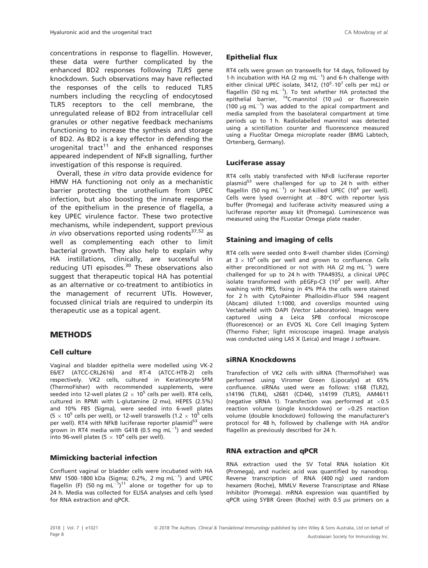concentrations in response to flagellin. However, these data were further complicated by the enhanced BD2 responses following TLR5 gene knockdown. Such observations may have reflected the responses of the cells to reduced TLR5 numbers including the recycling of endocytosed TLR5 receptors to the cell membrane, the unregulated release of BD2 from intracellular cell granules or other negative feedback mechanisms functioning to increase the synthesis and storage of BD2. As BD2 is a key effector in defending the urogenital tract<sup>11</sup> and the enhanced responses appeared independent of  $NFRB$  signalling, further investigation of this response is required.

Overall, these in vitro data provide evidence for HMW HA functioning not only as a mechanistic barrier protecting the urothelium from UPEC infection, but also boosting the innate response of the epithelium in the presence of flagella, a key UPEC virulence factor. These two protective mechanisms, while independent, support previous in vivo observations reported using rodents $37,52$  as well as complementing each other to limit bacterial growth. They also help to explain why HA instillations, clinically, are successful in reducing UTI episodes. $30$  These observations also suggest that therapeutic topical HA has potential as an alternative or co-treatment to antibiotics in the management of recurrent UTIs. However, focussed clinical trials are required to underpin its therapeutic use as a topical agent.

### METHODS

#### Cell culture

Vaginal and bladder epithelia were modelled using VK-2 E6/E7 (ATCC-CRL2616) and RT-4 (ATCC-HTB-2) cells respectively. VK2 cells, cultured in Keratinocyte-SFM (ThermoFisher) with recommended supplements, were seeded into 12-well plates (2  $\times$  10<sup>5</sup> cells per well). RT4 cells, cultured in RPMI with L-glutamine (2 mm), HEPES (2.5%) and 10% FBS (Sigma), were seeded into 6-well plates (5  $\times$  10<sup>5</sup> cells per well), or 12-well transwells (1.2  $\times$  10<sup>5</sup> cells per well). RT4 with NFkB luciferase reporter plasmid<sup>53</sup> were grown in RT4 media with G418 (0.5 mg mL $^{-1}$ ) and seeded into 96-well plates (5  $\times$  10<sup>4</sup> cells per well).

#### Mimicking bacterial infection

Confluent vaginal or bladder cells were incubated with HA MW 1500-1800 kDa (Sigma; 0.2%, 2 mg mL<sup>-1</sup>) and UPEC flagellin (F) (50 ng mL $^{-1}$ )<sup>11</sup> alone or together for up to 24 h. Media was collected for ELISA analyses and cells lysed for RNA extraction and qPCR.

### Epithelial flux

RT4 cells were grown on transwells for 14 days, followed by 1-h incubation with HA (2 mg  $mL^{-1}$ ) and 6-h challenge with either clinical UPEC isolate, 3412, (10<sup>5</sup>-10<sup>7</sup> cells per mL) or flagellin (50 ng mL $^{-1}$ ). To test whether HA protected the epithelial barrier,  $14C$ -mannitol (10  $\mu$ M) or fluorescein (100  $\mu$ g mL<sup>-1</sup>) was added to the apical compartment and media sampled from the basolateral compartment at time periods up to 1 h. Radiolabelled mannitol was detected using a scintillation counter and fluorescence measured using a FluoStar Omega microplate reader (BMG Labtech, Ortenberg, Germany).

#### Luciferase assay

RT4 cells stably transfected with NFKB luciferase reporter plasmid<sup>53</sup> were challenged for up to 24 h with either flagellin (50 ng mL $^{-1}$ ) or heat-killed UPEC (10<sup>4</sup> per well). Cells were lysed overnight at  $-80^{\circ}$ C with reporter lysis buffer (Promega) and luciferase activity measured using a luciferase reporter assay kit (Promega). Luminescence was measured using the FLuostar Omega plate reader.

### Staining and imaging of cells

RT4 cells were seeded onto 8-well chamber slides (Corning) at  $3 \times 10^4$  cells per well and grown to confluence. Cells either preconditioned or not with HA (2 mg mL $^{-1}$ ) were challenged for up to 24 h with TPA4935J, a clinical UPEC isolate transformed with pEGFp-C3 (10<sup>2</sup> per well). After washing with PBS, fixing in 4% PFA the cells were stained for 2 h with CytoPainter Phalloidin-iFluor 594 reagent (Abcam) diluted 1:1000, and coverslips mounted using Vectasheild with DAPI (Vector Laboratories). Images were captured using a Leica SP8 confocal microscope (fluorescence) or an EVOS XL Core Cell Imaging System (Thermo Fisher; light microscope images). Image analysis was conducted using LAS X (Leica) and Image J software.

#### siRNA Knockdowns

Transfection of VK2 cells with siRNA (ThermoFisher) was performed using Viromer Green (Lipocalyx) at 65% confluence. siRNAs used were as follows: s168 (TLR2), s14196 (TLR4), s2681 (CD44), s14199 (TLR5), AM4611 (negative siRNA 1). Transfection was performed at  $\times$ 0.5 reaction volume (single knockdown) or  $\times$ 0.25 reaction volume (double knockdown) following the manufacturer's protocol for 48 h, followed by challenge with HA and/or flagellin as previously described for 24 h.

#### RNA extraction and qPCR

RNA extraction used the SV Total RNA Isolation Kit (Promega), and nucleic acid was quantified by nanodrop. Reverse transcription of RNA (400 ng) used random hexamers (Roche), MMLV Reverse Transcriptase and RNase Inhibitor (Promega). mRNA expression was quantified by  $qPCR$  using SYBR Green (Roche) with 0.5  $µM$  primers on a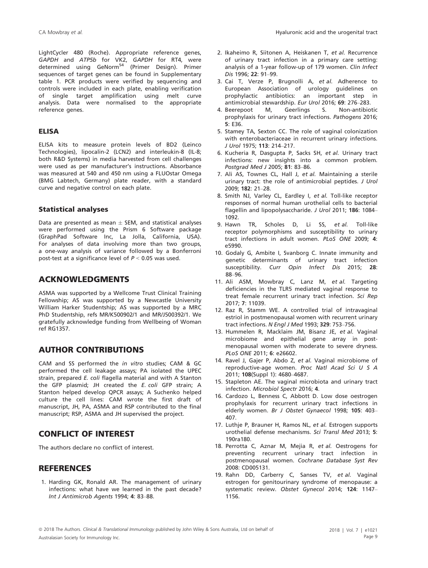LightCycler 480 (Roche). Appropriate reference genes, GAPDH and ATP5b for VK2, GAPDH for RT4, were determined using GeNorm<sup>54</sup> (Primer Design). Primer sequences of target genes can be found in Supplementary table 1. PCR products were verified by sequencing and controls were included in each plate, enabling verification of single target amplification using melt curve analysis. Data were normalised to the appropriate reference genes.

#### ELISA

ELISA kits to measure protein levels of BD2 (Leinco Technologies), lipocalin-2 (LCN2) and interleukin-8 (IL-8; both R&D Systems) in media harvested from cell challenges were used as per manufacturer's instructions. Absorbance was measured at 540 and 450 nm using a FLUOstar Omega (BMG Labtech, Germany) plate reader, with a standard curve and negative control on each plate.

#### Statistical analyses

Data are presented as mean  $\pm$  SEM, and statistical analyses were performed using the Prism 6 Software package (GraphPad Software Inc, La Jolla, California, USA). For analyses of data involving more than two groups, a one-way analysis of variance followed by a Bonferroni post-test at a significance level of  $P < 0.05$  was used.

### ACKNOWLEDGMENTS

ASMA was supported by a Wellcome Trust Clinical Training Fellowship; AS was supported by a Newcastle University William Harker Studentship; AS was supported by a MRC PhD Studentship, refs MR/K500902/1 and MR/J500392/1. We gratefully acknowledge funding from Wellbeing of Woman ref RG1357.

### AUTHOR CONTRIBUTIONS

CAM and SS performed the in vitro studies; CAM & GC performed the cell leakage assays; PA isolated the UPEC strain, prepared E. coli flagella material and with A Stanton the GFP plasmid; JH created the E. coli GFP strain; A Stanton helped develop QPCR assays; A Suchenko helped culture the cell lines: CAM wrote the first draft of manuscript, JH, PA, ASMA and RSP contributed to the final manuscript; RSP, ASMA and JH supervised the project.

## CONFLICT OF INTEREST

The authors declare no conflict of interest.

#### **REFERENCES**

1. Harding GK, Ronald AR. The management of urinary infections: what have we learned in the past decade? Int J Antimicrob Agents 1994; 4: 83–88.

- 2. Ikaheimo R, Siitonen A, Heiskanen T, et al. Recurrence of urinary tract infection in a primary care setting: analysis of a 1-year follow-up of 179 women. Clin Infect Dis 1996; 22: 91–99.
- 3. Cai T, Verze P, Brugnolli A, et al. Adherence to European Association of urology guidelines on prophylactic antibiotics: an important step in antimicrobial stewardship. Eur Urol 2016; 69: 276–283.
- 4. Beerepoot M, Geerlings S. Non-antibiotic prophylaxis for urinary tract infections. Pathogens 2016; 5: E36.
- 5. Stamey TA, Sexton CC. The role of vaginal colonization with enterobacteriaceae in recurrent urinary infections. J Urol 1975; 113: 214–217.
- 6. Kucheria R, Dasgupta P, Sacks SH, et al. Urinary tract infections: new insights into a common problem. Postgrad Med J 2005; 81: 83–86.
- 7. Ali AS, Townes CL, Hall J, et al. Maintaining a sterile urinary tract: the role of antimicrobial peptides. J Urol 2009; 182: 21–28.
- 8. Smith NJ, Varley CL, Eardley I, et al. Toll-like receptor responses of normal human urothelial cells to bacterial flagellin and lipopolysaccharide. J Urol 2011; 186: 1084-1092.
- 9. Hawn TR, Scholes D, Li SS, et al. Toll-like receptor polymorphisms and susceptibility to urinary tract infections in adult women. PLoS ONE 2009; 4: e5990.
- 10. Godaly G, Ambite I, Svanborg C. Innate immunity and genetic determinants of urinary tract infection susceptibility. Curr Opin Infect Dis 2015; 28: 88–96.
- 11. Ali ASM, Mowbray C, Lanz M, et al. Targeting deficiencies in the TLR5 mediated vaginal response to treat female recurrent urinary tract infection. Sci Rep 2017; 7: 11039.
- 12. Raz R, Stamm WE. A controlled trial of intravaginal estriol in postmenopausal women with recurrent urinary tract infections. N Engl J Med 1993; 329: 753–756.
- 13. Hummelen R, Macklaim JM, Bisanz JE, et al. Vaginal microbiome and epithelial gene array in postmenopausal women with moderate to severe dryness. PLoS ONE 2011; 6: e26602.
- 14. Ravel J, Gajer P, Abdo Z, et al. Vaginal microbiome of reproductive-age women. Proc Natl Acad Sci U S A 2011; 108(Suppl 1): 4680–4687.
- 15. Stapleton AE. The vaginal microbiota and urinary tract infection. Microbiol Spectr 2016; 4.
- 16. Cardozo L, Benness C, Abbott D. Low dose oestrogen prophylaxis for recurrent urinary tract infections in elderly women. Br J Obstet Gynaecol 1998; 105: 403– 407.
- 17. Luthje P, Brauner H, Ramos NL, et al. Estrogen supports urothelial defense mechanisms. Sci Transl Med 2013; 5: 190ra180.
- 18. Perrotta C, Aznar M, Mejia R, et al. Oestrogens for preventing recurrent urinary tract infection in postmenopausal women. Cochrane Database Syst Rev 2008: CD005131.
- 19. Rahn DD, Carberry C, Sanses TV, et al. Vaginal estrogen for genitourinary syndrome of menopause: a systematic review. Obstet Gynecol 2014; 124: 1147– 1156.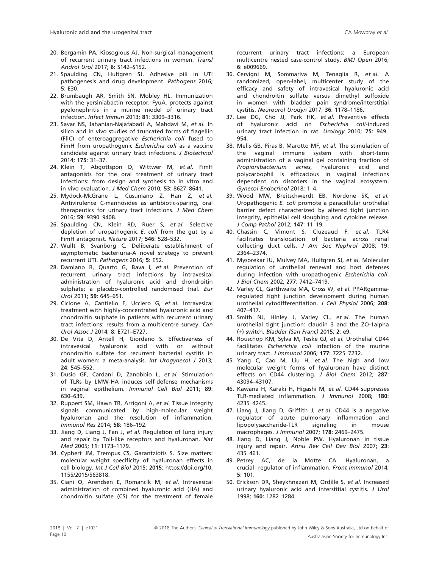- 20. Bergamin PA, Kiosoglous AJ. Non-surgical management of recurrent urinary tract infections in women. Transl Androl Urol 2017; 6: S142–S152.
- 21. Spaulding CN, Hultgren SJ. Adhesive pili in UTI pathogenesis and drug development. Pathogens 2016; 5: E30.
- 22. Brumbaugh AR, Smith SN, Mobley HL. Immunization with the yersiniabactin receptor, FyuA, protects against pyelonephritis in a murine model of urinary tract infection. Infect Immun 2013; 81: 3309–3316.
- 23. Savar NS, Jahanian-Najafabadi A, Mahdavi M, et al. In silico and in vivo studies of truncated forms of flagellin (FliC) of enteroaggregative Escherichia coli fused to FimH from uropathogenic Escherichia coli as a vaccine candidate against urinary tract infections. J Biotechnol 2014; 175: 31–37.
- 24. Klein T, Abgottspon D, Wittwer M, et al. FimH antagonists for the oral treatment of urinary tract infections: from design and synthesis to in vitro and in vivo evaluation. J Med Chem 2010; 53: 8627–8641.
- 25. Mydock-McGrane L, Cusumano Z, Han Z, et al. Antivirulence C-mannosides as antibiotic-sparing, oral therapeutics for urinary tract infections. J Med Chem 2016; 59: 9390–9408.
- 26. Spaulding CN, Klein RD, Ruer S, et al. Selective depletion of uropathogenic E. coli from the gut by a FimH antagonist. Nature 2017; 546: 528–532.
- 27. Wullt B, Svanborg C. Deliberate establishment of asymptomatic bacteriuria-A novel strategy to prevent recurrent UTI. Pathogens 2016; 5: E52.
- 28. Damiano R, Quarto G, Bava I, et al. Prevention of recurrent urinary tract infections by intravesical administration of hyaluronic acid and chondroitin sulphate: a placebo-controlled randomised trial. Eur Urol 2011; 59: 645–651.
- 29. Cicione A, Cantiello F, Ucciero G, et al. Intravesical treatment with highly-concentrated hyaluronic acid and chondroitin sulphate in patients with recurrent urinary tract infections: results from a multicentre survey. Can Urol Assoc J 2014; 8: E721–E727.
- 30. De Vita D, Antell H, Giordano S. Effectiveness of intravesical hyaluronic acid with or without chondroitin sulfate for recurrent bacterial cystitis in adult women: a meta-analysis. Int Urogynecol J 2013; 24: 545–552.
- 31. Dusio GF, Cardani D, Zanobbio L, et al. Stimulation of TLRs by LMW-HA induces self-defense mechanisms in vaginal epithelium. Immunol Cell Biol 2011; 89: 630–639.
- 32. Ruppert SM, Hawn TR, Arrigoni A, et al. Tissue integrity signals communicated by high-molecular weight hyaluronan and the resolution of inflammation. Immunol Res 2014; 58: 186–192.
- 33. Jiang D, Liang J, Fan J, et al. Regulation of lung injury and repair by Toll-like receptors and hyaluronan. Nat Med 2005; 11: 1173–1179.
- 34. Cyphert JM, Trempus CS, Garantziotis S. Size matters: molecular weight specificity of hyaluronan effects in cell biology. Int J Cell Biol 2015; 2015: [https://doi.org/10.](https://doi.org/10.1155/2015/563818) [1155/2015/563818.](https://doi.org/10.1155/2015/563818)
- 35. Ciani O, Arendsen E, Romancik M, et al. Intravesical administration of combined hyaluronic acid (HA) and chondroitin sulfate (CS) for the treatment of female

recurrent urinary tract infections: a European multicentre nested case-control study. BMJ Open 2016; 6: e009669.

- 36. Cervigni M, Sommariva M, Tenaglia R, et al. A randomized, open-label, multicenter study of the efficacy and safety of intravesical hyaluronic acid and chondroitin sulfate versus dimethyl sulfoxide in women with bladder pain syndrome/interstitial cystitis. Neurourol Urodyn 2017; 36: 1178–1186.
- 37. Lee DG, Cho JJ, Park HK, et al. Preventive effects of hyaluronic acid on Escherichia coli-induced urinary tract infection in rat. Urology 2010; 75: 949– 954.
- 38. Melis GB, Piras B, Marotto MF, et al. The stimulation of the vaginal immune system with short-term administration of a vaginal gel containing fraction of Propionibacterium acnes, hyaluronic acid and polycarbophil is efficacious in vaginal infections dependent on disorders in the vaginal ecosystem. Gynecol Endocrinol 2018; 1–4.
- 39. Wood MW, Breitschwerdt EB, Nordone SK, et al. Uropathogenic E. coli promote a paracellular urothelial barrier defect characterized by altered tight junction integrity, epithelial cell sloughing and cytokine release. J Comp Pathol 2012; 147: 11–19.
- 40. Chassin C, Vimont S, Cluzeaud F, et al. TLR4 facilitates translocation of bacteria across renal collecting duct cells. J Am Soc Nephrol 2008; 19: 2364–2374.
- 41. Mysorekar IU, Mulvey MA, Hultgren SJ, et al. Molecular regulation of urothelial renewal and host defenses during infection with uropathogenic Escherichia coli. J Biol Chem 2002; 277: 7412–7419.
- 42. Varley CL, Garthwaite MA, Cross W, et al. PPARgammaregulated tight junction development during human urothelial cytodifferentiation. J Cell Physiol 2006; 208: 407–417.
- 43. Smith NJ, Hinley J, Varley CL, et al. The human urothelial tight junction: claudin 3 and the ZO-1alpha (+) switch. Bladder (San Franc) 2015; 2: e9.
- 44. Rouschop KM, Sylva M, Teske GJ, et al. Urothelial CD44 facilitates Escherichia coli infection of the murine urinary tract. J Immunol 2006; 177: 7225–7232.
- 45. Yang C, Cao M, Liu H, et al. The high and low molecular weight forms of hyaluronan have distinct effects on CD44 clustering. J Biol Chem 2012; 287: 43094–43107.
- 46. Kawana H, Karaki H, Higashi M, et al. CD44 suppresses TLR-mediated inflammation. J Immunol 2008; 180: 4235–4245.
- 47. Liang J, Jiang D, Griffith J, et al. CD44 is a negative regulator of acute pulmonary inflammation and lipopolysaccharide-TLR signaling in mouse macrophages. J Immunol 2007; 178: 2469–2475.
- 48. Jiang D, Liang J, Noble PW. Hyaluronan in tissue injury and repair. Annu Rev Cell Dev Biol 2007; 23: 435–461.
- 49. Petrey AC, de la Motte CA. Hyaluronan, a crucial regulator of inflammation. Front Immunol 2014; 5: 101.
- 50. Erickson DR, Sheykhnazari M, Ordille S, et al. Increased urinary hyaluronic acid and interstitial cystitis. J Urol 1998; 160: 1282–1284.